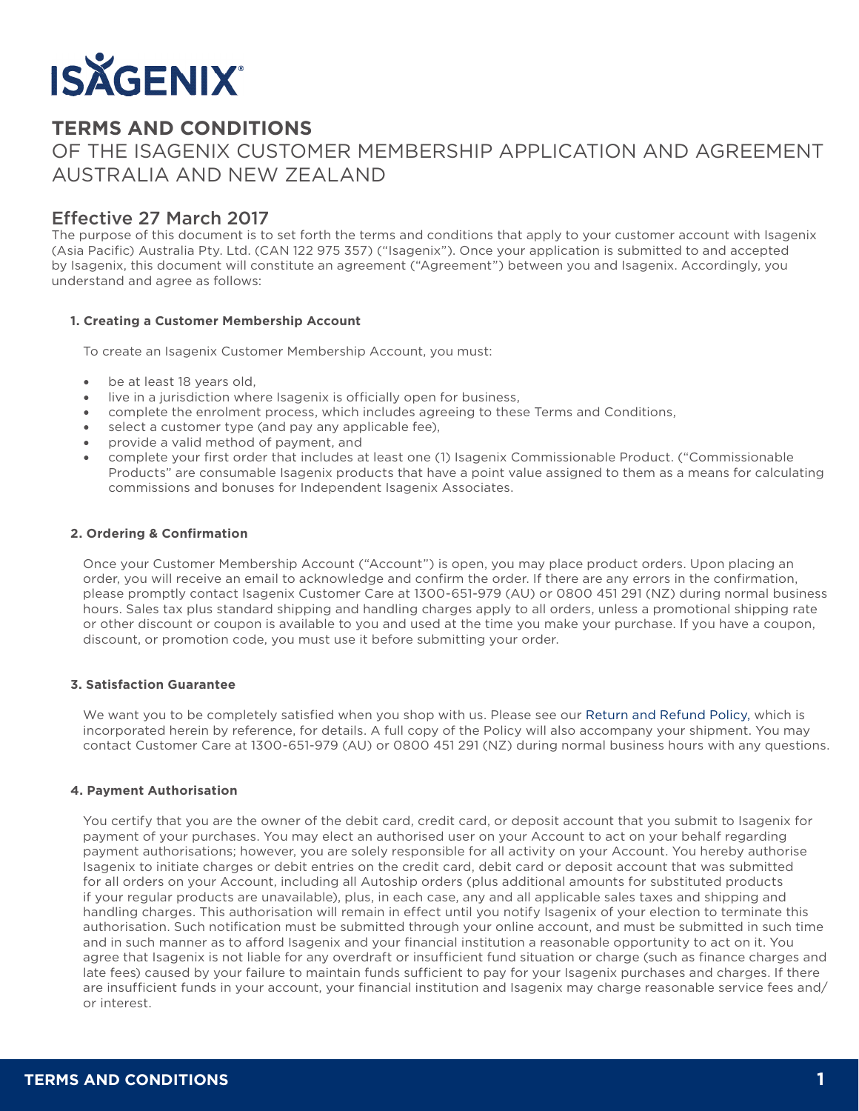

# **TERMS AND CONDITIONS**

# OF THE ISAGENIX CUSTOMER MEMBERSHIP APPLICATION AND AGREEMENT AUSTRALIA AND NEW ZEALAND

# Effective 27 March 2017

The purpose of this document is to set forth the terms and conditions that apply to your customer account with Isagenix (Asia Pacific) Australia Pty. Ltd. (CAN 122 975 357) ("Isagenix"). Once your application is submitted to and accepted by Isagenix, this document will constitute an agreement ("Agreement") between you and Isagenix. Accordingly, you understand and agree as follows:

#### **1. Creating a Customer Membership Account**

To create an Isagenix Customer Membership Account, you must:

- be at least 18 years old,
- live in a jurisdiction where Isagenix is officially open for business,
- complete the enrolment process, which includes agreeing to these Terms and Conditions,
- select a customer type (and pay any applicable fee).
- provide a valid method of payment, and
- complete your first order that includes at least one (1) Isagenix Commissionable Product. ("Commissionable Products" are consumable Isagenix products that have a point value assigned to them as a means for calculating commissions and bonuses for Independent Isagenix Associates.

#### **2. Ordering & Confirmation**

Once your Customer Membership Account ("Account") is open, you may place product orders. Upon placing an order, you will receive an email to acknowledge and confirm the order. If there are any errors in the confirmation, please promptly contact Isagenix Customer Care at 1300-651-979 (AU) or 0800 451 291 (NZ) during normal business hours. Sales tax plus standard shipping and handling charges apply to all orders, unless a promotional shipping rate or other discount or coupon is available to you and used at the time you make your purchase. If you have a coupon, discount, or promotion code, you must use it before submitting your order.

#### **3. Satisfaction Guarantee**

We want you to be completely satisfied when you shop with us. Please see our Return and Refund Policy, which is incorporated herein by reference, for details. A full copy of the Policy will also accompany your shipment. You may contact Customer Care at 1300-651-979 (AU) or 0800 451 291 (NZ) during normal business hours with any questions.

## **4. Payment Authorisation**

You certify that you are the owner of the debit card, credit card, or deposit account that you submit to Isagenix for payment of your purchases. You may elect an authorised user on your Account to act on your behalf regarding payment authorisations; however, you are solely responsible for all activity on your Account. You hereby authorise Isagenix to initiate charges or debit entries on the credit card, debit card or deposit account that was submitted for all orders on your Account, including all Autoship orders (plus additional amounts for substituted products if your regular products are unavailable), plus, in each case, any and all applicable sales taxes and shipping and handling charges. This authorisation will remain in effect until you notify Isagenix of your election to terminate this authorisation. Such notification must be submitted through your online account, and must be submitted in such time and in such manner as to afford Isagenix and your financial institution a reasonable opportunity to act on it. You agree that Isagenix is not liable for any overdraft or insufficient fund situation or charge (such as finance charges and late fees) caused by your failure to maintain funds sufficient to pay for your Isagenix purchases and charges. If there are insufficient funds in your account, your financial institution and Isagenix may charge reasonable service fees and/ or interest.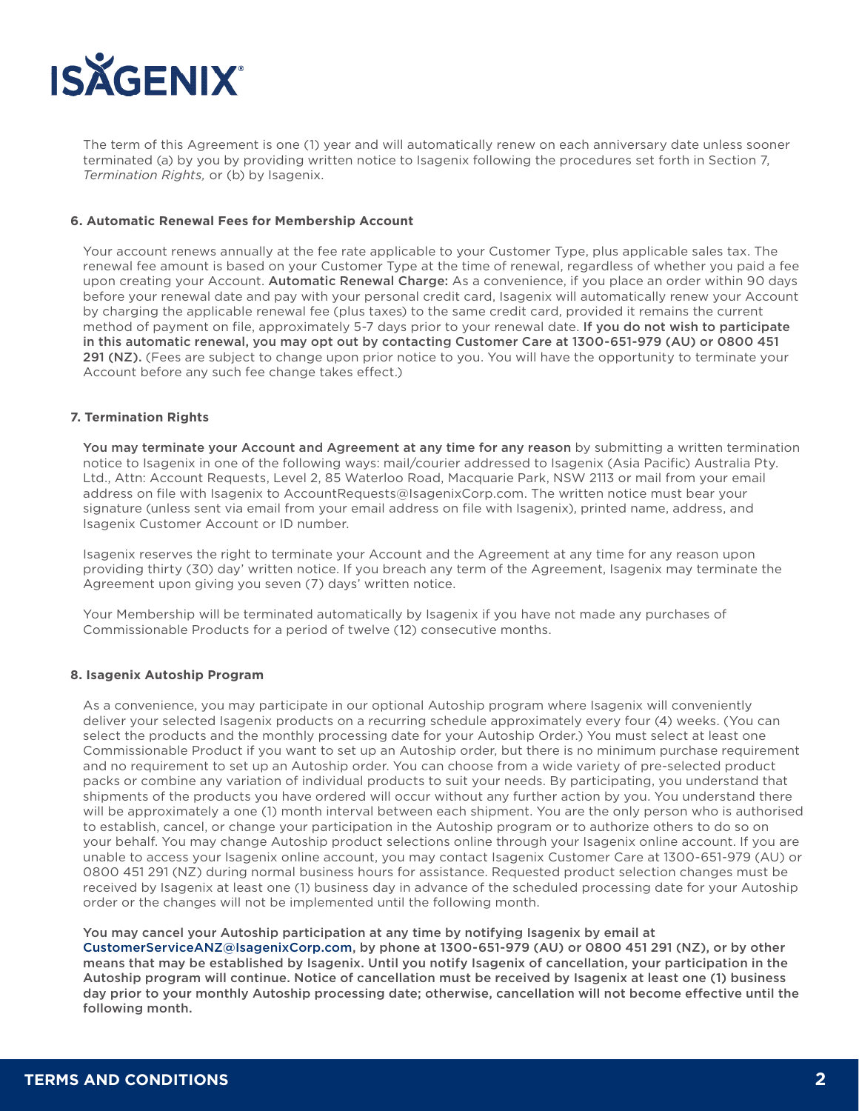

The term of this Agreement is one (1) year and will automatically renew on each anniversary date unless sooner terminated (a) by you by providing written notice to Isagenix following the procedures set forth in Section 7, *Termination Rights,* or (b) by Isagenix.

#### **6. Automatic Renewal Fees for Membership Account**

Your account renews annually at the fee rate applicable to your Customer Type, plus applicable sales tax. The renewal fee amount is based on your Customer Type at the time of renewal, regardless of whether you paid a fee upon creating your Account. Automatic Renewal Charge: As a convenience, if you place an order within 90 days before your renewal date and pay with your personal credit card, Isagenix will automatically renew your Account by charging the applicable renewal fee (plus taxes) to the same credit card, provided it remains the current method of payment on file, approximately 5-7 days prior to your renewal date. If you do not wish to participate in this automatic renewal, you may opt out by contacting Customer Care at 1300-651-979 (AU) or 0800 451 291 (NZ). (Fees are subject to change upon prior notice to you. You will have the opportunity to terminate your Account before any such fee change takes effect.)

#### **7. Termination Rights**

You may terminate your Account and Agreement at any time for any reason by submitting a written termination notice to Isagenix in one of the following ways: mail/courier addressed to Isagenix (Asia Pacific) Australia Pty. Ltd., Attn: Account Requests, Level 2, 85 Waterloo Road, Macquarie Park, NSW 2113 or mail from your email address on file with Isagenix to AccountRequests@IsagenixCorp.com. The written notice must bear your signature (unless sent via email from your email address on file with Isagenix), printed name, address, and Isagenix Customer Account or ID number.

Isagenix reserves the right to terminate your Account and the Agreement at any time for any reason upon providing thirty (30) day' written notice. If you breach any term of the Agreement, Isagenix may terminate the Agreement upon giving you seven (7) days' written notice.

Your Membership will be terminated automatically by Isagenix if you have not made any purchases of Commissionable Products for a period of twelve (12) consecutive months.

#### **8. Isagenix Autoship Program**

As a convenience, you may participate in our optional Autoship program where Isagenix will conveniently deliver your selected Isagenix products on a recurring schedule approximately every four (4) weeks. (You can select the products and the monthly processing date for your Autoship Order.) You must select at least one Commissionable Product if you want to set up an Autoship order, but there is no minimum purchase requirement and no requirement to set up an Autoship order. You can choose from a wide variety of pre-selected product packs or combine any variation of individual products to suit your needs. By participating, you understand that shipments of the products you have ordered will occur without any further action by you. You understand there will be approximately a one (1) month interval between each shipment. You are the only person who is authorised to establish, cancel, or change your participation in the Autoship program or to authorize others to do so on your behalf. You may change Autoship product selections online through your Isagenix online account. If you are unable to access your Isagenix online account, you may contact Isagenix Customer Care at 1300-651-979 (AU) or 0800 451 291 (NZ) during normal business hours for assistance. Requested product selection changes must be received by Isagenix at least one (1) business day in advance of the scheduled processing date for your Autoship order or the changes will not be implemented until the following month.

You may cancel your Autoship participation at any time by notifying Isagenix by email at CustomerServiceANZ@IsagenixCorp.com, by phone at 1300-651-979 (AU) or 0800 451 291 (NZ), or by other means that may be established by Isagenix. Until you notify Isagenix of cancellation, your participation in the Autoship program will continue. Notice of cancellation must be received by Isagenix at least one (1) business day prior to your monthly Autoship processing date; otherwise, cancellation will not become effective until the following month.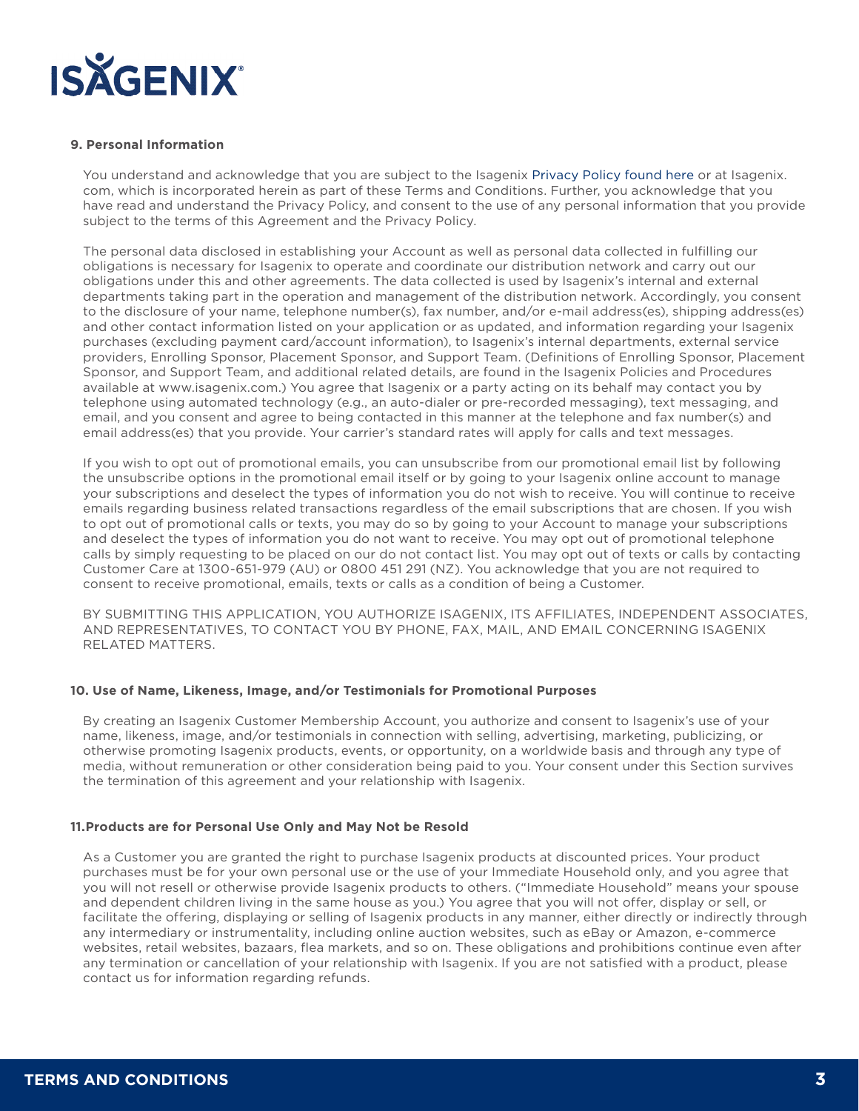

#### **9. Personal Information**

You understand and acknowledge that you are subject to the Isagenix Privacy Policy found here or at Isagenix. com, which is incorporated herein as part of these Terms and Conditions. Further, you acknowledge that you have read and understand the Privacy Policy, and consent to the use of any personal information that you provide subject to the terms of this Agreement and the Privacy Policy.

The personal data disclosed in establishing your Account as well as personal data collected in fulfilling our obligations is necessary for Isagenix to operate and coordinate our distribution network and carry out our obligations under this and other agreements. The data collected is used by Isagenix's internal and external departments taking part in the operation and management of the distribution network. Accordingly, you consent to the disclosure of your name, telephone number(s), fax number, and/or e-mail address(es), shipping address(es) and other contact information listed on your application or as updated, and information regarding your Isagenix purchases (excluding payment card/account information), to Isagenix's internal departments, external service providers, Enrolling Sponsor, Placement Sponsor, and Support Team. (Definitions of Enrolling Sponsor, Placement Sponsor, and Support Team, and additional related details, are found in the Isagenix Policies and Procedures available at www.isagenix.com.) You agree that Isagenix or a party acting on its behalf may contact you by telephone using automated technology (e.g., an auto-dialer or pre-recorded messaging), text messaging, and email, and you consent and agree to being contacted in this manner at the telephone and fax number(s) and email address(es) that you provide. Your carrier's standard rates will apply for calls and text messages.

If you wish to opt out of promotional emails, you can unsubscribe from our promotional email list by following the unsubscribe options in the promotional email itself or by going to your Isagenix online account to manage your subscriptions and deselect the types of information you do not wish to receive. You will continue to receive emails regarding business related transactions regardless of the email subscriptions that are chosen. If you wish to opt out of promotional calls or texts, you may do so by going to your Account to manage your subscriptions and deselect the types of information you do not want to receive. You may opt out of promotional telephone calls by simply requesting to be placed on our do not contact list. You may opt out of texts or calls by contacting Customer Care at 1300-651-979 (AU) or 0800 451 291 (NZ). You acknowledge that you are not required to consent to receive promotional, emails, texts or calls as a condition of being a Customer.

BY SUBMITTING THIS APPLICATION, YOU AUTHORIZE ISAGENIX, ITS AFFILIATES, INDEPENDENT ASSOCIATES, AND REPRESENTATIVES, TO CONTACT YOU BY PHONE, FAX, MAIL, AND EMAIL CONCERNING ISAGENIX RELATED MATTERS.

#### **10. Use of Name, Likeness, Image, and/or Testimonials for Promotional Purposes**

By creating an Isagenix Customer Membership Account, you authorize and consent to Isagenix's use of your name, likeness, image, and/or testimonials in connection with selling, advertising, marketing, publicizing, or otherwise promoting Isagenix products, events, or opportunity, on a worldwide basis and through any type of media, without remuneration or other consideration being paid to you. Your consent under this Section survives the termination of this agreement and your relationship with Isagenix.

#### **11.Products are for Personal Use Only and May Not be Resold**

As a Customer you are granted the right to purchase Isagenix products at discounted prices. Your product purchases must be for your own personal use or the use of your Immediate Household only, and you agree that you will not resell or otherwise provide Isagenix products to others. ("Immediate Household" means your spouse and dependent children living in the same house as you.) You agree that you will not offer, display or sell, or facilitate the offering, displaying or selling of Isagenix products in any manner, either directly or indirectly through any intermediary or instrumentality, including online auction websites, such as eBay or Amazon, e-commerce websites, retail websites, bazaars, flea markets, and so on. These obligations and prohibitions continue even after any termination or cancellation of your relationship with Isagenix. If you are not satisfied with a product, please contact us for information regarding refunds.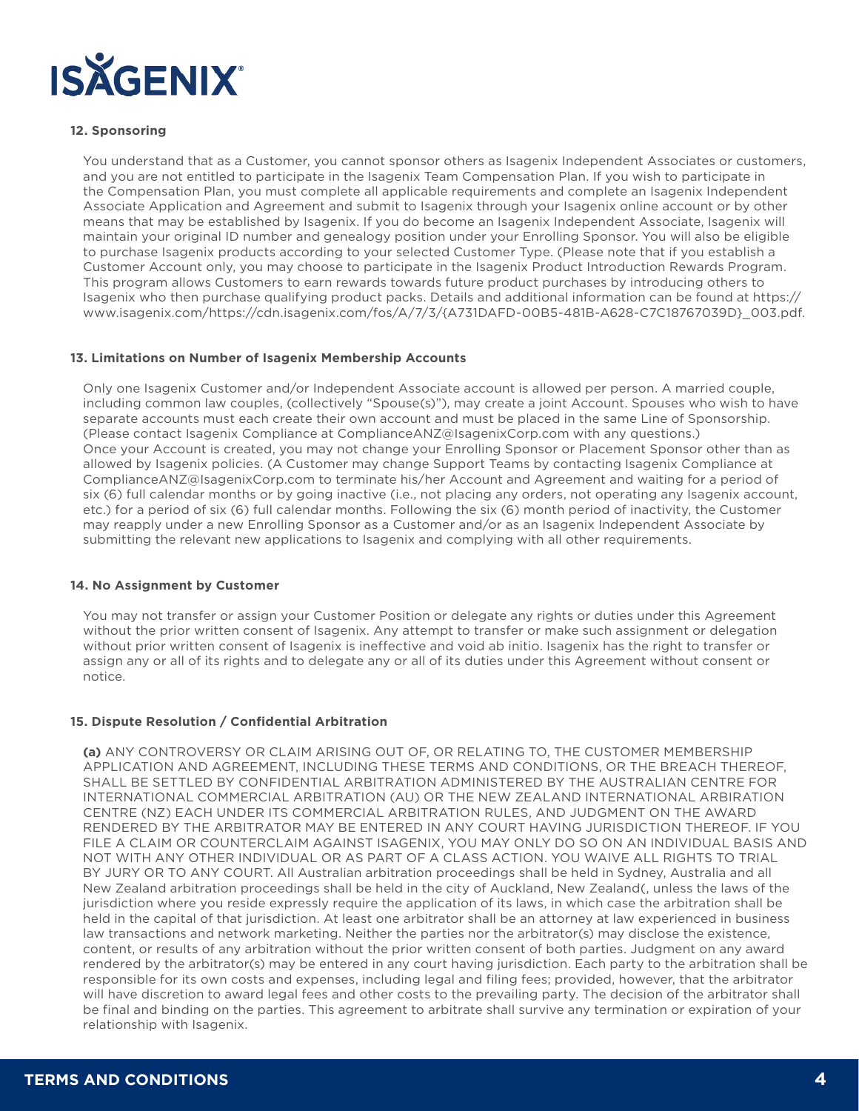

## **12. Sponsoring**

You understand that as a Customer, you cannot sponsor others as Isagenix Independent Associates or customers, and you are not entitled to participate in the Isagenix Team Compensation Plan. If you wish to participate in the Compensation Plan, you must complete all applicable requirements and complete an Isagenix Independent Associate Application and Agreement and submit to Isagenix through your Isagenix online account or by other means that may be established by Isagenix. If you do become an Isagenix Independent Associate, Isagenix will maintain your original ID number and genealogy position under your Enrolling Sponsor. You will also be eligible to purchase Isagenix products according to your selected Customer Type. (Please note that if you establish a Customer Account only, you may choose to participate in the Isagenix Product Introduction Rewards Program. This program allows Customers to earn rewards towards future product purchases by introducing others to Isagenix who then purchase qualifying product packs. Details and additional information can be found at https:// www.isagenix.com/https://cdn.isagenix.com/fos/A/7/3/{A731DAFD-00B5-481B-A628-C7C18767039D}\_003.pdf.

#### **13. Limitations on Number of Isagenix Membership Accounts**

Only one Isagenix Customer and/or Independent Associate account is allowed per person. A married couple, including common law couples, (collectively "Spouse(s)"), may create a joint Account. Spouses who wish to have separate accounts must each create their own account and must be placed in the same Line of Sponsorship. (Please contact Isagenix Compliance at ComplianceANZ@IsagenixCorp.com with any questions.) Once your Account is created, you may not change your Enrolling Sponsor or Placement Sponsor other than as allowed by Isagenix policies. (A Customer may change Support Teams by contacting Isagenix Compliance at ComplianceANZ@IsagenixCorp.com to terminate his/her Account and Agreement and waiting for a period of six (6) full calendar months or by going inactive (i.e., not placing any orders, not operating any Isagenix account, etc.) for a period of six (6) full calendar months. Following the six (6) month period of inactivity, the Customer may reapply under a new Enrolling Sponsor as a Customer and/or as an Isagenix Independent Associate by submitting the relevant new applications to Isagenix and complying with all other requirements.

#### **14. No Assignment by Customer**

You may not transfer or assign your Customer Position or delegate any rights or duties under this Agreement without the prior written consent of Isagenix. Any attempt to transfer or make such assignment or delegation without prior written consent of Isagenix is ineffective and void ab initio. Isagenix has the right to transfer or assign any or all of its rights and to delegate any or all of its duties under this Agreement without consent or notice.

## **15. Dispute Resolution / Confidential Arbitration**

**(a)** ANY CONTROVERSY OR CLAIM ARISING OUT OF, OR RELATING TO, THE CUSTOMER MEMBERSHIP APPLICATION AND AGREEMENT, INCLUDING THESE TERMS AND CONDITIONS, OR THE BREACH THEREOF, SHALL BE SETTLED BY CONFIDENTIAL ARBITRATION ADMINISTERED BY THE AUSTRALIAN CENTRE FOR INTERNATIONAL COMMERCIAL ARBITRATION (AU) OR THE NEW ZEALAND INTERNATIONAL ARBIRATION CENTRE (NZ) EACH UNDER ITS COMMERCIAL ARBITRATION RULES, AND JUDGMENT ON THE AWARD RENDERED BY THE ARBITRATOR MAY BE ENTERED IN ANY COURT HAVING JURISDICTION THEREOF. IF YOU FILE A CLAIM OR COUNTERCLAIM AGAINST ISAGENIX, YOU MAY ONLY DO SO ON AN INDIVIDUAL BASIS AND NOT WITH ANY OTHER INDIVIDUAL OR AS PART OF A CLASS ACTION. YOU WAIVE ALL RIGHTS TO TRIAL BY JURY OR TO ANY COURT. All Australian arbitration proceedings shall be held in Sydney, Australia and all New Zealand arbitration proceedings shall be held in the city of Auckland, New Zealand(, unless the laws of the jurisdiction where you reside expressly require the application of its laws, in which case the arbitration shall be held in the capital of that jurisdiction. At least one arbitrator shall be an attorney at law experienced in business law transactions and network marketing. Neither the parties nor the arbitrator(s) may disclose the existence, content, or results of any arbitration without the prior written consent of both parties. Judgment on any award rendered by the arbitrator(s) may be entered in any court having jurisdiction. Each party to the arbitration shall be responsible for its own costs and expenses, including legal and filing fees; provided, however, that the arbitrator will have discretion to award legal fees and other costs to the prevailing party. The decision of the arbitrator shall be final and binding on the parties. This agreement to arbitrate shall survive any termination or expiration of your relationship with Isagenix.